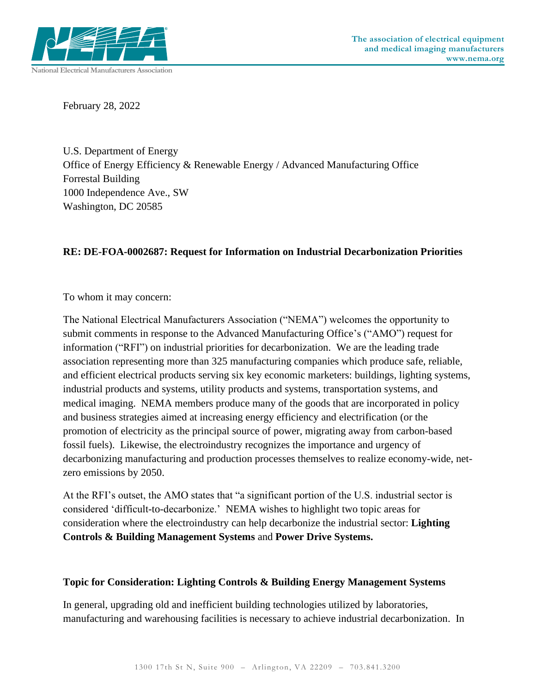

February 28, 2022

U.S. Department of Energy Office of Energy Efficiency & Renewable Energy / Advanced Manufacturing Office Forrestal Building 1000 Independence Ave., SW Washington, DC 20585

## **RE: DE-FOA-0002687: Request for Information on Industrial Decarbonization Priorities**

To whom it may concern:

The National Electrical Manufacturers Association ("NEMA") welcomes the opportunity to submit comments in response to the Advanced Manufacturing Office's ("AMO") request for information ("RFI") on industrial priorities for decarbonization. We are the leading trade association representing more than 325 manufacturing companies which produce safe, reliable, and efficient electrical products serving six key economic marketers: buildings, lighting systems, industrial products and systems, utility products and systems, transportation systems, and medical imaging. NEMA members produce many of the goods that are incorporated in policy and business strategies aimed at increasing energy efficiency and electrification (or the promotion of electricity as the principal source of power, migrating away from carbon-based fossil fuels). Likewise, the electroindustry recognizes the importance and urgency of decarbonizing manufacturing and production processes themselves to realize economy-wide, netzero emissions by 2050.

At the RFI's outset, the AMO states that "a significant portion of the U.S. industrial sector is considered 'difficult-to-decarbonize.' NEMA wishes to highlight two topic areas for consideration where the electroindustry can help decarbonize the industrial sector: **Lighting Controls & Building Management Systems** and **Power Drive Systems.**

## **Topic for Consideration: Lighting Controls & Building Energy Management Systems**

In general, upgrading old and inefficient building technologies utilized by laboratories, manufacturing and warehousing facilities is necessary to achieve industrial decarbonization. In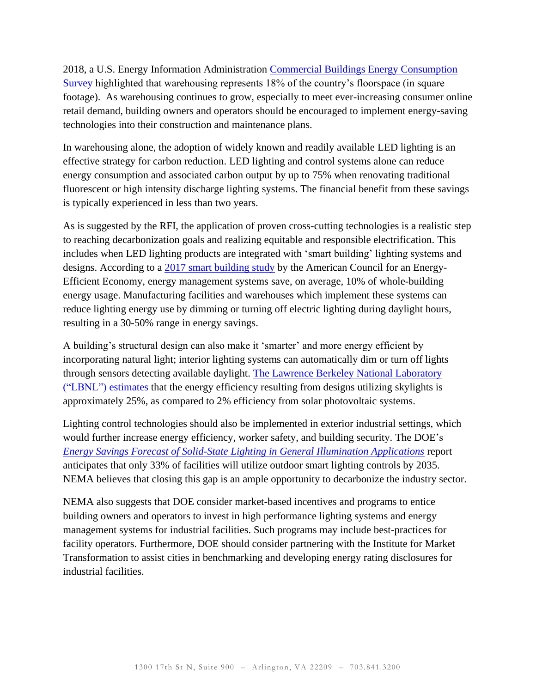2018, a U.S. Energy Information Administration [Commercial Buildings Energy Consumption](https://www.eia.gov/consumption/commercial/)  [Survey](https://www.eia.gov/consumption/commercial/) highlighted that warehousing represents 18% of the country's floorspace (in square footage). As warehousing continues to grow, especially to meet ever-increasing consumer online retail demand, building owners and operators should be encouraged to implement energy-saving technologies into their construction and maintenance plans.

In warehousing alone, the adoption of widely known and readily available LED lighting is an effective strategy for carbon reduction. LED lighting and control systems alone can reduce energy consumption and associated carbon output by up to 75% when renovating traditional fluorescent or high intensity discharge lighting systems. The financial benefit from these savings is typically experienced in less than two years.

As is suggested by the RFI, the application of proven cross-cutting technologies is a realistic step to reaching decarbonization goals and realizing equitable and responsible electrification. This includes when LED lighting products are integrated with 'smart building' lighting systems and designs. According to a [2017 smart building study](https://www.aceee.org/research-report/a1701) by the American Council for an Energy-Efficient Economy, energy management systems save, on average, 10% of whole-building energy usage. Manufacturing facilities and warehouses which implement these systems can reduce lighting energy use by dimming or turning off electric lighting during daylight hours, resulting in a 30-50% range in energy savings.

A building's structural design can also make it 'smarter' and more energy efficient by incorporating natural light; interior lighting systems can automatically dim or turn off lights through sensors detecting available daylight. [The Lawrence Berkeley National Laboratory](https://www.radiance-online.org/community/workshops/2011-berkeley-ca/presentations/day2/SS_KeynoteAddress.pdf)  [\("LBNL"\) estimates](https://www.radiance-online.org/community/workshops/2011-berkeley-ca/presentations/day2/SS_KeynoteAddress.pdf) that the energy efficiency resulting from designs utilizing skylights is approximately 25%, as compared to 2% efficiency from solar photovoltaic systems.

Lighting control technologies should also be implemented in exterior industrial settings, which would further increase energy efficiency, worker safety, and building security. The DOE's *[Energy Savings Forecast of Solid-State Lighting in General Illumination Applications](https://www.energy.gov/eere/ssl/downloads/energy-savings-forecast-solid-state-lighting-general-illumination-applications)* report anticipates that only 33% of facilities will utilize outdoor smart lighting controls by 2035. NEMA believes that closing this gap is an ample opportunity to decarbonize the industry sector.

NEMA also suggests that DOE consider market-based incentives and programs to entice building owners and operators to invest in high performance lighting systems and energy management systems for industrial facilities. Such programs may include best-practices for facility operators. Furthermore, DOE should consider partnering with the Institute for Market Transformation to assist cities in benchmarking and developing energy rating disclosures for industrial facilities.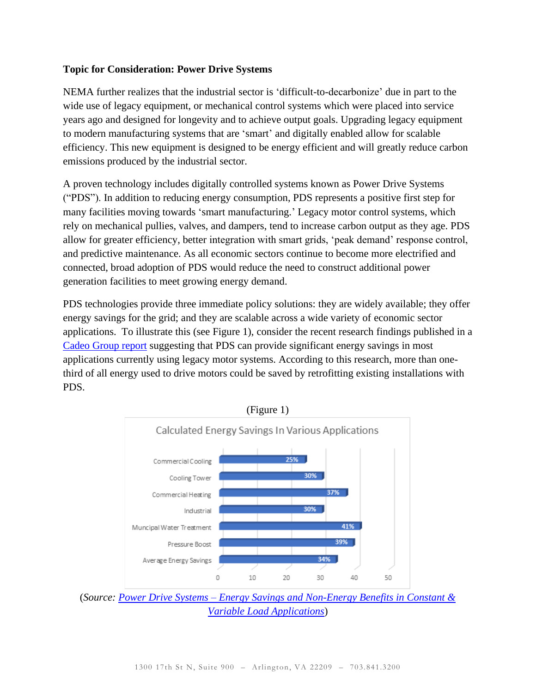## **Topic for Consideration: Power Drive Systems**

NEMA further realizes that the industrial sector is 'difficult-to-decarbonize' due in part to the wide use of legacy equipment, or mechanical control systems which were placed into service years ago and designed for longevity and to achieve output goals. Upgrading legacy equipment to modern manufacturing systems that are 'smart' and digitally enabled allow for scalable efficiency. This new equipment is designed to be energy efficient and will greatly reduce carbon emissions produced by the industrial sector.

A proven technology includes digitally controlled systems known as Power Drive Systems ("PDS"). In addition to reducing energy consumption, PDS represents a positive first step for many facilities moving towards 'smart manufacturing.' Legacy motor control systems, which rely on mechanical pullies, valves, and dampers, tend to increase carbon output as they age. PDS allow for greater efficiency, better integration with smart grids, 'peak demand' response control, and predictive maintenance. As all economic sectors continue to become more electrified and connected, broad adoption of PDS would reduce the need to construct additional power generation facilities to meet growing energy demand.

PDS technologies provide three immediate policy solutions: they are widely available; they offer energy savings for the grid; and they are scalable across a wide variety of economic sector applications. To illustrate this (see Figure 1), consider the recent research findings published in a Cadeo [Group](https://neea.org/resources/power-drive-systems-energy-savings-and-non-energy-benefits-in-constant-variable-load-applications) report suggesting that PDS can provide significant energy savings in most applications currently using legacy motor systems. According to this research, more than onethird of all energy used to drive motors could be saved by retrofitting existing installations with PDS.



(*Source: Power Drive Systems – [Energy Savings and Non-Energy Benefits in Constant &](https://neea.org/resources/power-drive-systems-energy-savings-and-non-energy-benefits-in-constant-variable-load-applications)  [Variable Load Applications](https://neea.org/resources/power-drive-systems-energy-savings-and-non-energy-benefits-in-constant-variable-load-applications)*)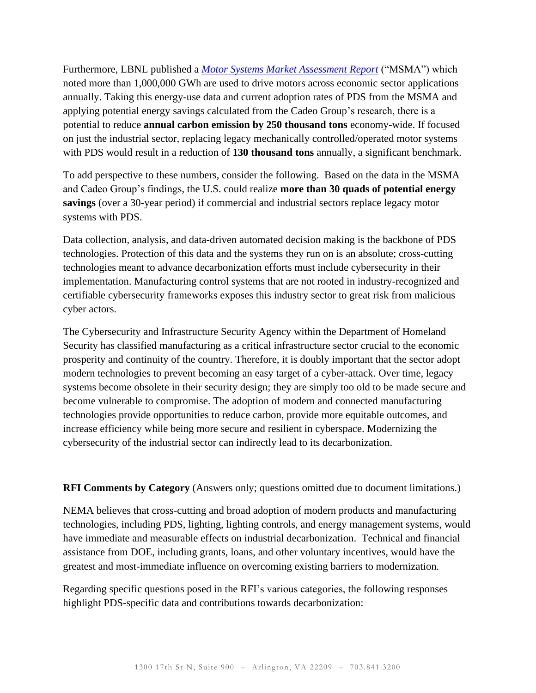Furthermore, LBNL published a *[Motor Systems Market Assessment Report](https://www.osti.gov/biblio/1760267)* ("MSMA") which noted more than 1,000,000 GWh are used to drive motors across economic sector applications annually. Taking this energy-use data and current adoption rates of PDS from the MSMA and applying potential energy savings calculated from the Cadeo Group's research, there is a potential to reduce **annual carbon emission by 250 thousand tons** economy-wide. If focused on just the industrial sector, replacing legacy mechanically controlled/operated motor systems with PDS would result in a reduction of **130 thousand tons** annually, a significant benchmark.

To add perspective to these numbers, consider the following. Based on the data in the MSMA and Cadeo Group's findings, the U.S. could realize **more than 30 quads of potential energy savings** (over a 30-year period) if commercial and industrial sectors replace legacy motor systems with PDS.

Data collection, analysis, and data-driven automated decision making is the backbone of PDS technologies. Protection of this data and the systems they run on is an absolute; cross-cutting technologies meant to advance decarbonization efforts must include cybersecurity in their implementation. Manufacturing control systems that are not rooted in industry-recognized and certifiable cybersecurity frameworks exposes this industry sector to great risk from malicious cyber actors.

The Cybersecurity and Infrastructure Security Agency within the Department of Homeland Security has classified manufacturing as a critical infrastructure sector crucial to the economic prosperity and continuity of the country. Therefore, it is doubly important that the sector adopt modern technologies to prevent becoming an easy target of a cyber-attack. Over time, legacy systems become obsolete in their security design; they are simply too old to be made secure and become vulnerable to compromise. The adoption of modern and connected manufacturing technologies provide opportunities to reduce carbon, provide more equitable outcomes, and increase efficiency while being more secure and resilient in cyberspace. Modernizing the cybersecurity of the industrial sector can indirectly lead to its decarbonization.

**RFI Comments by Category** (Answers only; questions omitted due to document limitations.)

NEMA believes that cross-cutting and broad adoption of modern products and manufacturing technologies, including PDS, lighting, lighting controls, and energy management systems, would have immediate and measurable effects on industrial decarbonization. Technical and financial assistance from DOE, including grants, loans, and other voluntary incentives, would have the greatest and most-immediate influence on overcoming existing barriers to modernization.

Regarding specific questions posed in the RFI's various categories, the following responses highlight PDS-specific data and contributions towards decarbonization: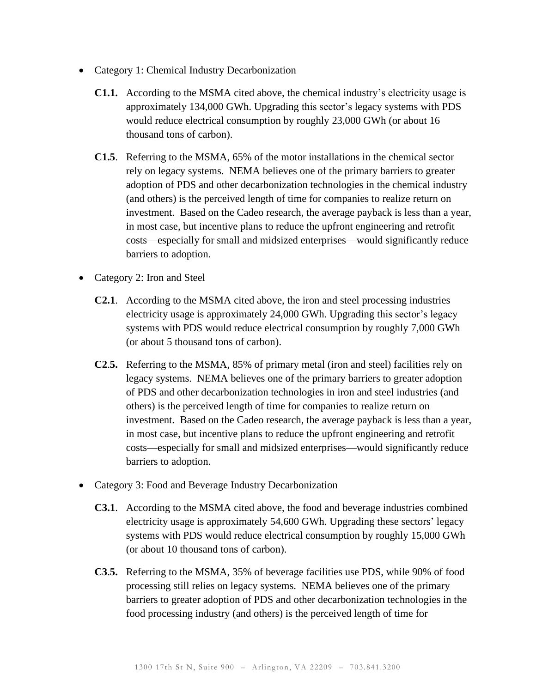- Category 1: Chemical Industry Decarbonization
	- **C1.1.** According to the MSMA cited above, the chemical industry's electricity usage is approximately 134,000 GWh. Upgrading this sector's legacy systems with PDS would reduce electrical consumption by roughly 23,000 GWh (or about 16 thousand tons of carbon).
	- **C1.5**. Referring to the MSMA, 65% of the motor installations in the chemical sector rely on legacy systems. NEMA believes one of the primary barriers to greater adoption of PDS and other decarbonization technologies in the chemical industry (and others) is the perceived length of time for companies to realize return on investment. Based on the Cadeo research, the average payback is less than a year, in most case, but incentive plans to reduce the upfront engineering and retrofit costs—especially for small and midsized enterprises—would significantly reduce barriers to adoption.
- Category 2: Iron and Steel
	- **C2.1**. According to the MSMA cited above, the iron and steel processing industries electricity usage is approximately 24,000 GWh. Upgrading this sector's legacy systems with PDS would reduce electrical consumption by roughly 7,000 GWh (or about 5 thousand tons of carbon).
	- **C2**.**5.** Referring to the MSMA, 85% of primary metal (iron and steel) facilities rely on legacy systems. NEMA believes one of the primary barriers to greater adoption of PDS and other decarbonization technologies in iron and steel industries (and others) is the perceived length of time for companies to realize return on investment. Based on the Cadeo research, the average payback is less than a year, in most case, but incentive plans to reduce the upfront engineering and retrofit costs—especially for small and midsized enterprises—would significantly reduce barriers to adoption.
- Category 3: Food and Beverage Industry Decarbonization
	- **C3.1**. According to the MSMA cited above, the food and beverage industries combined electricity usage is approximately 54,600 GWh. Upgrading these sectors' legacy systems with PDS would reduce electrical consumption by roughly 15,000 GWh (or about 10 thousand tons of carbon).
	- **C3**.**5.** Referring to the MSMA, 35% of beverage facilities use PDS, while 90% of food processing still relies on legacy systems. NEMA believes one of the primary barriers to greater adoption of PDS and other decarbonization technologies in the food processing industry (and others) is the perceived length of time for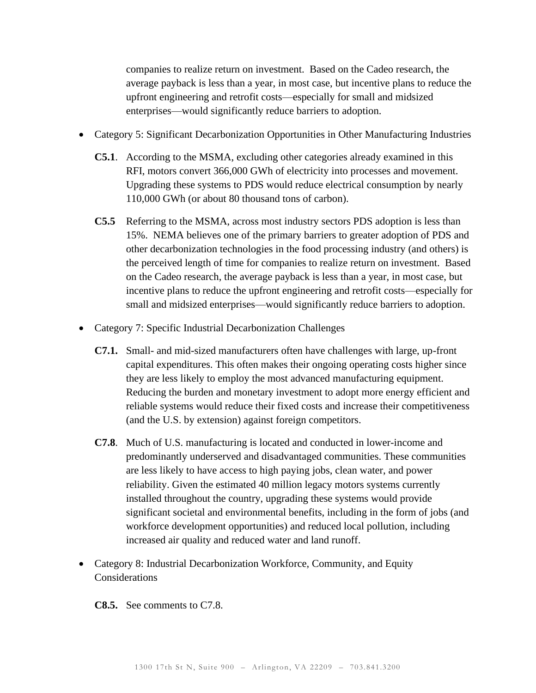companies to realize return on investment. Based on the Cadeo research, the average payback is less than a year, in most case, but incentive plans to reduce the upfront engineering and retrofit costs—especially for small and midsized enterprises—would significantly reduce barriers to adoption.

- Category 5: Significant Decarbonization Opportunities in Other Manufacturing Industries
	- **C5.1**. According to the MSMA, excluding other categories already examined in this RFI, motors convert 366,000 GWh of electricity into processes and movement. Upgrading these systems to PDS would reduce electrical consumption by nearly 110,000 GWh (or about 80 thousand tons of carbon).
	- **C5.5** Referring to the MSMA, across most industry sectors PDS adoption is less than 15%. NEMA believes one of the primary barriers to greater adoption of PDS and other decarbonization technologies in the food processing industry (and others) is the perceived length of time for companies to realize return on investment. Based on the Cadeo research, the average payback is less than a year, in most case, but incentive plans to reduce the upfront engineering and retrofit costs—especially for small and midsized enterprises—would significantly reduce barriers to adoption.
- Category 7: Specific Industrial Decarbonization Challenges
	- **C7.1.** Small- and mid-sized manufacturers often have challenges with large, up-front capital expenditures. This often makes their ongoing operating costs higher since they are less likely to employ the most advanced manufacturing equipment. Reducing the burden and monetary investment to adopt more energy efficient and reliable systems would reduce their fixed costs and increase their competitiveness (and the U.S. by extension) against foreign competitors.
	- **C7.8**. Much of U.S. manufacturing is located and conducted in lower-income and predominantly underserved and disadvantaged communities. These communities are less likely to have access to high paying jobs, clean water, and power reliability. Given the estimated 40 million legacy motors systems currently installed throughout the country, upgrading these systems would provide significant societal and environmental benefits, including in the form of jobs (and workforce development opportunities) and reduced local pollution, including increased air quality and reduced water and land runoff.
- Category 8: Industrial Decarbonization Workforce, Community, and Equity **Considerations**

**C8.5.** See comments to C7.8.